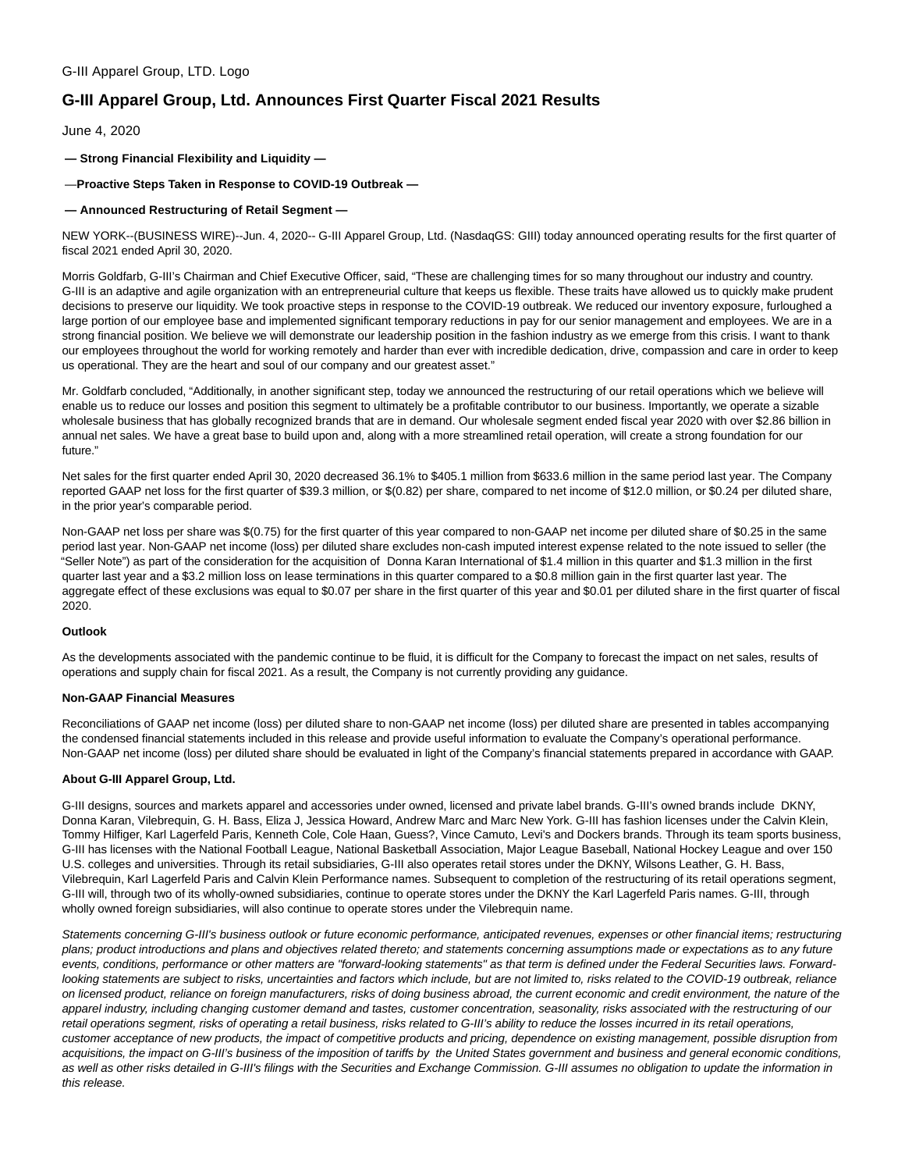# **G-III Apparel Group, Ltd. Announces First Quarter Fiscal 2021 Results**

June 4, 2020

**— Strong Financial Flexibility and Liquidity —**

— **Proactive Steps Taken in Response to COVID-19 Outbreak —**

## **— Announced Restructuring of Retail Segment —**

NEW YORK--(BUSINESS WIRE)--Jun. 4, 2020-- G-III Apparel Group, Ltd. (NasdaqGS: GIII) today announced operating results for the first quarter of fiscal 2021 ended April 30, 2020.

Morris Goldfarb, G-III's Chairman and Chief Executive Officer, said, "These are challenging times for so many throughout our industry and country. G-III is an adaptive and agile organization with an entrepreneurial culture that keeps us flexible. These traits have allowed us to quickly make prudent decisions to preserve our liquidity. We took proactive steps in response to the COVID-19 outbreak. We reduced our inventory exposure, furloughed a large portion of our employee base and implemented significant temporary reductions in pay for our senior management and employees. We are in a strong financial position. We believe we will demonstrate our leadership position in the fashion industry as we emerge from this crisis. I want to thank our employees throughout the world for working remotely and harder than ever with incredible dedication, drive, compassion and care in order to keep us operational. They are the heart and soul of our company and our greatest asset."

Mr. Goldfarb concluded, "Additionally, in another significant step, today we announced the restructuring of our retail operations which we believe will enable us to reduce our losses and position this segment to ultimately be a profitable contributor to our business. Importantly, we operate a sizable wholesale business that has globally recognized brands that are in demand. Our wholesale segment ended fiscal year 2020 with over \$2.86 billion in annual net sales. We have a great base to build upon and, along with a more streamlined retail operation, will create a strong foundation for our future."

Net sales for the first quarter ended April 30, 2020 decreased 36.1% to \$405.1 million from \$633.6 million in the same period last year. The Company reported GAAP net loss for the first quarter of \$39.3 million, or \$(0.82) per share, compared to net income of \$12.0 million, or \$0.24 per diluted share, in the prior year's comparable period.

Non-GAAP net loss per share was \$(0.75) for the first quarter of this year compared to non-GAAP net income per diluted share of \$0.25 in the same period last year. Non-GAAP net income (loss) per diluted share excludes non-cash imputed interest expense related to the note issued to seller (the "Seller Note") as part of the consideration for the acquisition of Donna Karan International of \$1.4 million in this quarter and \$1.3 million in the first quarter last year and a \$3.2 million loss on lease terminations in this quarter compared to a \$0.8 million gain in the first quarter last year. The aggregate effect of these exclusions was equal to \$0.07 per share in the first quarter of this year and \$0.01 per diluted share in the first quarter of fiscal 2020.

#### **Outlook**

As the developments associated with the pandemic continue to be fluid, it is difficult for the Company to forecast the impact on net sales, results of operations and supply chain for fiscal 2021. As a result, the Company is not currently providing any guidance.

#### **Non-GAAP Financial Measures**

Reconciliations of GAAP net income (loss) per diluted share to non-GAAP net income (loss) per diluted share are presented in tables accompanying the condensed financial statements included in this release and provide useful information to evaluate the Company's operational performance. Non-GAAP net income (loss) per diluted share should be evaluated in light of the Company's financial statements prepared in accordance with GAAP.

#### **About G-III Apparel Group, Ltd.**

G-III designs, sources and markets apparel and accessories under owned, licensed and private label brands. G-III's owned brands include DKNY, Donna Karan, Vilebrequin, G. H. Bass, Eliza J, Jessica Howard, Andrew Marc and Marc New York. G-III has fashion licenses under the Calvin Klein, Tommy Hilfiger, Karl Lagerfeld Paris, Kenneth Cole, Cole Haan, Guess?, Vince Camuto, Levi's and Dockers brands. Through its team sports business, G-III has licenses with the National Football League, National Basketball Association, Major League Baseball, National Hockey League and over 150 U.S. colleges and universities. Through its retail subsidiaries, G-III also operates retail stores under the DKNY, Wilsons Leather, G. H. Bass, Vilebrequin, Karl Lagerfeld Paris and Calvin Klein Performance names. Subsequent to completion of the restructuring of its retail operations segment, G-III will, through two of its wholly-owned subsidiaries, continue to operate stores under the DKNY the Karl Lagerfeld Paris names. G-III, through wholly owned foreign subsidiaries, will also continue to operate stores under the Vilebrequin name.

Statements concerning G-III's business outlook or future economic performance, anticipated revenues, expenses or other financial items; restructuring plans; product introductions and plans and objectives related thereto; and statements concerning assumptions made or expectations as to any future events, conditions, performance or other matters are "forward-looking statements" as that term is defined under the Federal Securities laws. Forwardlooking statements are subject to risks, uncertainties and factors which include, but are not limited to, risks related to the COVID-19 outbreak, reliance on licensed product, reliance on foreign manufacturers, risks of doing business abroad, the current economic and credit environment, the nature of the apparel industry, including changing customer demand and tastes, customer concentration, seasonality, risks associated with the restructuring of our retail operations segment, risks of operating a retail business, risks related to G-III's ability to reduce the losses incurred in its retail operations, customer acceptance of new products, the impact of competitive products and pricing, dependence on existing management, possible disruption from acquisitions, the impact on G-III's business of the imposition of tariffs by the United States government and business and general economic conditions, as well as other risks detailed in G-III's filings with the Securities and Exchange Commission. G-III assumes no obligation to update the information in this release.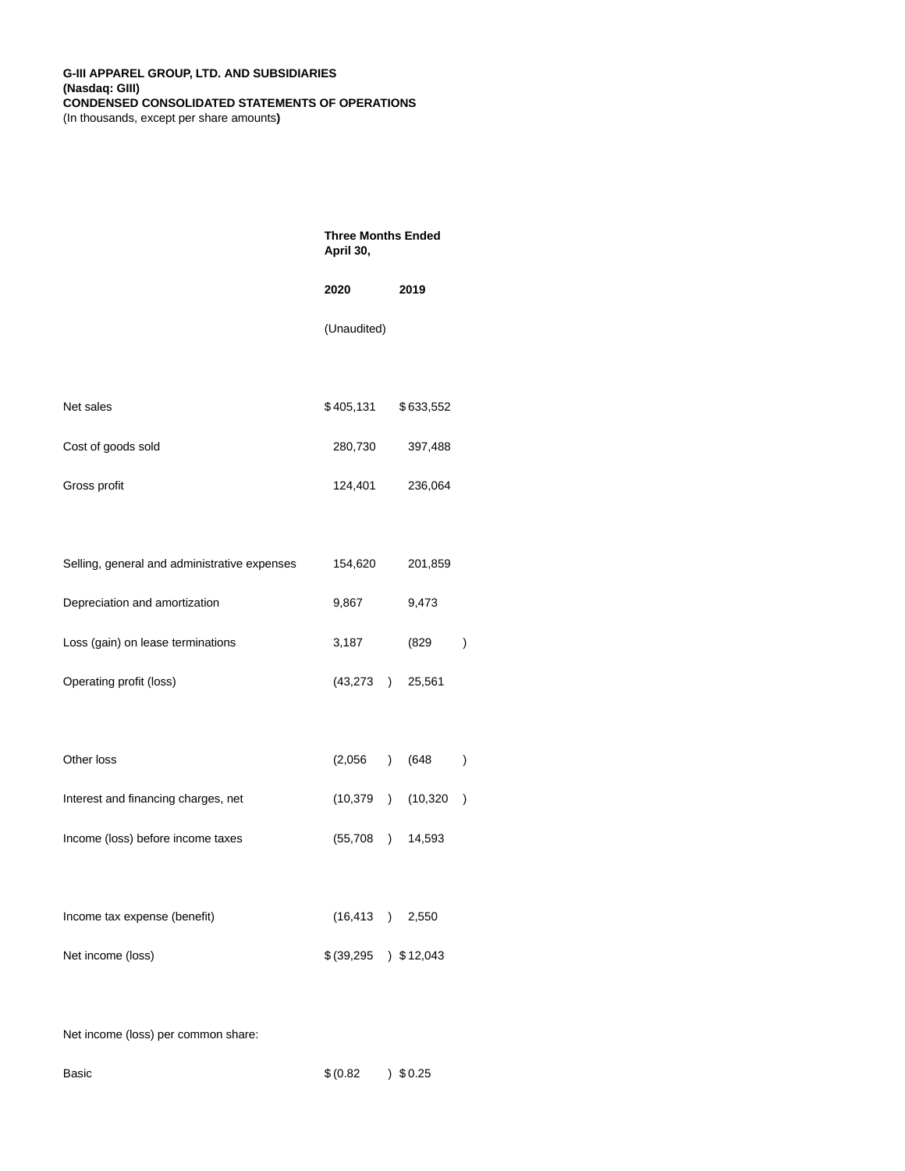|                                              | <b>Three Months Ended</b><br>April 30, |                |           |               |
|----------------------------------------------|----------------------------------------|----------------|-----------|---------------|
|                                              | 2020                                   |                | 2019      |               |
|                                              | (Unaudited)                            |                |           |               |
|                                              |                                        |                |           |               |
| Net sales                                    | \$405,131                              |                | \$633,552 |               |
| Cost of goods sold                           | 280,730                                |                | 397,488   |               |
| Gross profit                                 | 124,401                                |                | 236,064   |               |
|                                              |                                        |                |           |               |
| Selling, general and administrative expenses | 154,620                                |                | 201,859   |               |
| Depreciation and amortization                | 9,867                                  |                | 9,473     |               |
| Loss (gain) on lease terminations            | 3,187                                  |                | (829      | $\big)$       |
| Operating profit (loss)                      | (43, 273)                              |                | 25,561    |               |
|                                              |                                        |                |           |               |
| Other loss                                   | (2,056)                                | $\overline{)}$ | (648      | $\big)$       |
| Interest and financing charges, net          | (10,379                                | $\overline{)}$ | (10, 320) | $\mathcal{E}$ |
| Income (loss) before income taxes            | (55, 708)                              | $\overline{)}$ | 14,593    |               |
|                                              |                                        |                |           |               |
| Income tax expense (benefit)                 | (16, 413)                              |                | 2,550     |               |
| Net income (loss)                            | \$ (39,295                             |                | 3512,043  |               |
|                                              |                                        |                |           |               |

Net income (loss) per common share:

| Basic | \$ (0.82) | 30.25 |
|-------|-----------|-------|
|       |           |       |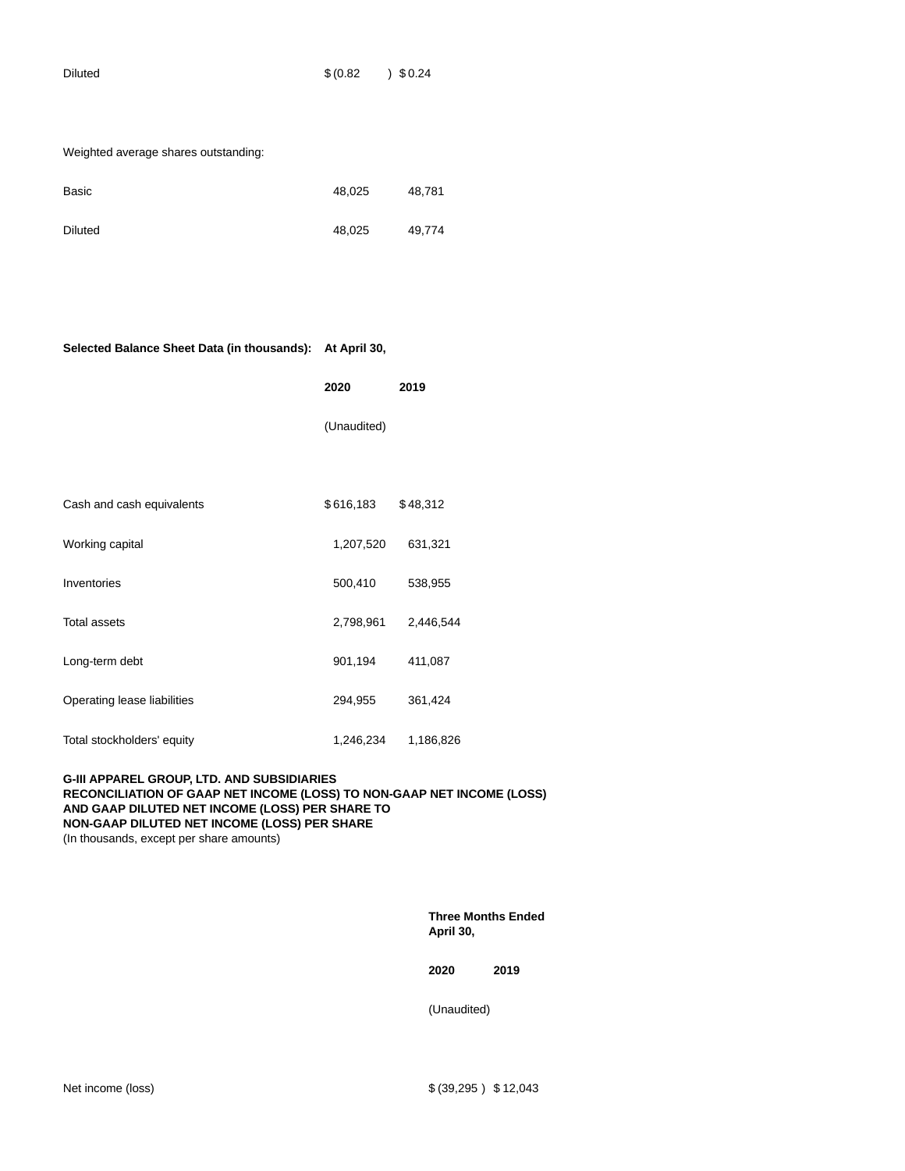| Diluted | \$ (0.82) | 30.24 |
|---------|-----------|-------|

| Weighted average shares outstanding: |        |        |
|--------------------------------------|--------|--------|
| Basic                                | 48,025 | 48,781 |
| <b>Diluted</b>                       | 48,025 | 49,774 |

| Selected Balance Sheet Data (in thousands): At April 30, |             |           |
|----------------------------------------------------------|-------------|-----------|
|                                                          | 2020        | 2019      |
|                                                          | (Unaudited) |           |
|                                                          |             |           |
| Cash and cash equivalents                                | \$616,183   | \$48,312  |
| Working capital                                          | 1,207,520   | 631,321   |
| Inventories                                              | 500,410     | 538,955   |
| <b>Total assets</b>                                      | 2,798,961   | 2,446,544 |
| Long-term debt                                           | 901,194     | 411,087   |
| Operating lease liabilities                              | 294,955     | 361,424   |
| Total stockholders' equity                               | 1,246,234   | 1,186,826 |

## **G-III APPAREL GROUP, LTD. AND SUBSIDIARIES RECONCILIATION OF GAAP NET INCOME (LOSS) TO NON-GAAP NET INCOME (LOSS) AND GAAP DILUTED NET INCOME (LOSS) PER SHARE TO NON-GAAP DILUTED NET INCOME (LOSS) PER SHARE** (In thousands, except per share amounts)

**Three Months Ended April 30,**

**2020 2019**

(Unaudited)